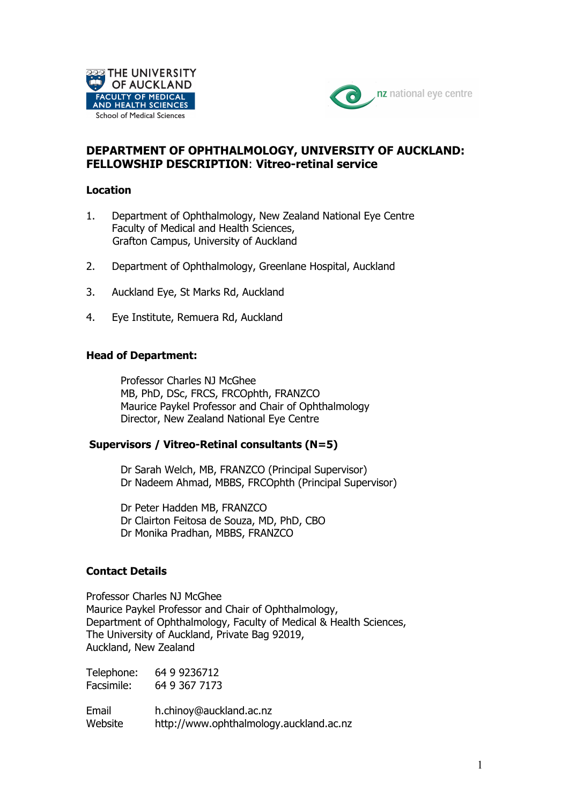



# **DEPARTMENT OF OPHTHALMOLOGY, UNIVERSITY OF AUCKLAND: FELLOWSHIP DESCRIPTION**: **Vitreo-retinal service**

### **Location**

- 1. Department of Ophthalmology, New Zealand National Eye Centre Faculty of Medical and Health Sciences, Grafton Campus, University of Auckland
- 2. Department of Ophthalmology, Greenlane Hospital, Auckland
- 3. Auckland Eye, St Marks Rd, Auckland
- 4. Eye Institute, Remuera Rd, Auckland

#### **Head of Department:**

Professor Charles NJ McGhee MB, PhD, DSc, FRCS, FRCOphth, FRANZCO Maurice Paykel Professor and Chair of Ophthalmology Director, New Zealand National Eye Centre

#### **Supervisors / Vitreo-Retinal consultants (N=5)**

Dr Sarah Welch, MB, FRANZCO (Principal Supervisor) Dr Nadeem Ahmad, MBBS, FRCOphth (Principal Supervisor)

Dr Peter Hadden MB, FRANZCO Dr Clairton Feitosa de Souza, MD, PhD, CBO Dr Monika Pradhan, MBBS, FRANZCO

### **Contact Details**

Professor Charles NJ McGhee Maurice Paykel Professor and Chair of Ophthalmology, Department of Ophthalmology, Faculty of Medical & Health Sciences, The University of Auckland, Private Bag 92019, Auckland, New Zealand

| Telephone: | 64 9 9236712  |
|------------|---------------|
| Facsimile: | 64 9 367 7173 |

Email h.chinoy@auckland.ac.nz Website http://www.ophthalmology.auckland.ac.nz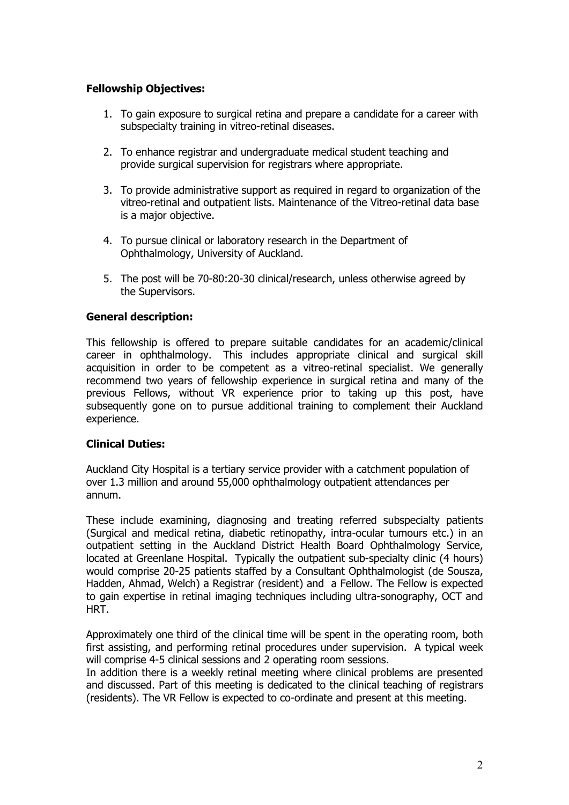## **Fellowship Objectives:**

- 1. To gain exposure to surgical retina and prepare a candidate for a career with subspecialty training in vitreo-retinal diseases.
- 2. To enhance registrar and undergraduate medical student teaching and provide surgical supervision for registrars where appropriate.
- 3. To provide administrative support as required in regard to organization of the vitreo-retinal and outpatient lists. Maintenance of the Vitreo-retinal data base is a major objective.
- 4. To pursue clinical or laboratory research in the Department of Ophthalmology, University of Auckland.
- 5. The post will be 70-80:20-30 clinical/research, unless otherwise agreed by the Supervisors.

### **General description:**

This fellowship is offered to prepare suitable candidates for an academic/clinical career in ophthalmology. This includes appropriate clinical and surgical skill acquisition in order to be competent as a vitreo-retinal specialist. We generally recommend two years of fellowship experience in surgical retina and many of the previous Fellows, without VR experience prior to taking up this post, have subsequently gone on to pursue additional training to complement their Auckland experience.

### **Clinical Duties:**

Auckland City Hospital is a tertiary service provider with a catchment population of over 1.3 million and around 55,000 ophthalmology outpatient attendances per annum.

These include examining, diagnosing and treating referred subspecialty patients (Surgical and medical retina, diabetic retinopathy, intra-ocular tumours etc.) in an outpatient setting in the Auckland District Health Board Ophthalmology Service, located at Greenlane Hospital. Typically the outpatient sub-specialty clinic (4 hours) would comprise 20-25 patients staffed by a Consultant Ophthalmologist (de Sousza, Hadden, Ahmad, Welch) a Registrar (resident) and a Fellow. The Fellow is expected to gain expertise in retinal imaging techniques including ultra-sonography, OCT and HRT.

Approximately one third of the clinical time will be spent in the operating room, both first assisting, and performing retinal procedures under supervision. A typical week will comprise 4-5 clinical sessions and 2 operating room sessions.

In addition there is a weekly retinal meeting where clinical problems are presented and discussed. Part of this meeting is dedicated to the clinical teaching of registrars (residents). The VR Fellow is expected to co-ordinate and present at this meeting.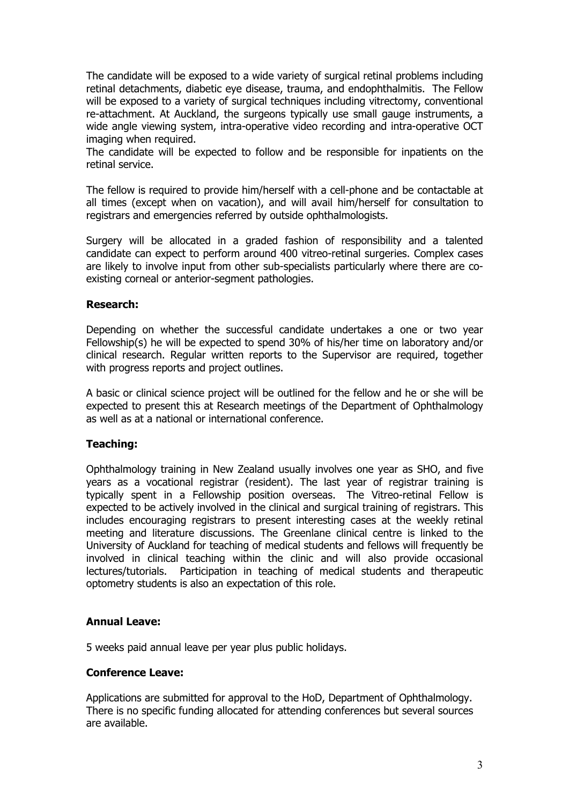The candidate will be exposed to a wide variety of surgical retinal problems including retinal detachments, diabetic eye disease, trauma, and endophthalmitis. The Fellow will be exposed to a variety of surgical techniques including vitrectomy, conventional re-attachment. At Auckland, the surgeons typically use small gauge instruments, a wide angle viewing system, intra-operative video recording and intra-operative OCT imaging when required.

The candidate will be expected to follow and be responsible for inpatients on the retinal service.

The fellow is required to provide him/herself with a cell-phone and be contactable at all times (except when on vacation), and will avail him/herself for consultation to registrars and emergencies referred by outside ophthalmologists.

Surgery will be allocated in a graded fashion of responsibility and a talented candidate can expect to perform around 400 vitreo-retinal surgeries. Complex cases are likely to involve input from other sub-specialists particularly where there are coexisting corneal or anterior-segment pathologies.

### **Research:**

Depending on whether the successful candidate undertakes a one or two year Fellowship(s) he will be expected to spend 30% of his/her time on laboratory and/or clinical research. Regular written reports to the Supervisor are required, together with progress reports and project outlines.

A basic or clinical science project will be outlined for the fellow and he or she will be expected to present this at Research meetings of the Department of Ophthalmology as well as at a national or international conference.

## **Teaching:**

Ophthalmology training in New Zealand usually involves one year as SHO, and five years as a vocational registrar (resident). The last year of registrar training is typically spent in a Fellowship position overseas. The Vitreo-retinal Fellow is expected to be actively involved in the clinical and surgical training of registrars. This includes encouraging registrars to present interesting cases at the weekly retinal meeting and literature discussions. The Greenlane clinical centre is linked to the University of Auckland for teaching of medical students and fellows will frequently be involved in clinical teaching within the clinic and will also provide occasional lectures/tutorials. Participation in teaching of medical students and therapeutic optometry students is also an expectation of this role.

## **Annual Leave:**

5 weeks paid annual leave per year plus public holidays.

### **Conference Leave:**

Applications are submitted for approval to the HoD, Department of Ophthalmology. There is no specific funding allocated for attending conferences but several sources are available.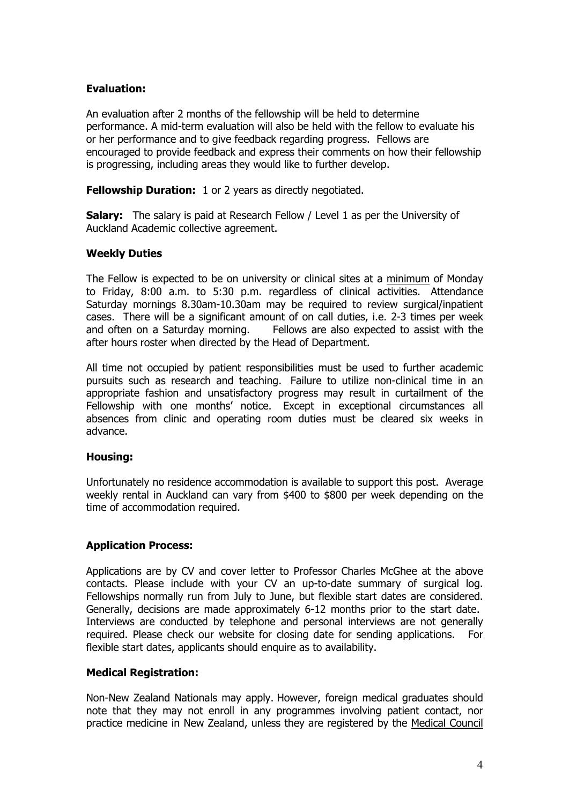## **Evaluation:**

An evaluation after 2 months of the fellowship will be held to determine performance. A mid-term evaluation will also be held with the fellow to evaluate his or her performance and to give feedback regarding progress. Fellows are encouraged to provide feedback and express their comments on how their fellowship is progressing, including areas they would like to further develop.

**Fellowship Duration:** 1 or 2 years as directly negotiated.

**Salary:** The salary is paid at Research Fellow / Level 1 as per the University of Auckland Academic collective agreement.

### **Weekly Duties**

The Fellow is expected to be on university or clinical sites at a minimum of Monday to Friday, 8:00 a.m. to 5:30 p.m. regardless of clinical activities. Attendance Saturday mornings 8.30am-10.30am may be required to review surgical/inpatient cases. There will be a significant amount of on call duties, i.e. 2-3 times per week and often on a Saturday morning. Fellows are also expected to assist with the after hours roster when directed by the Head of Department.

All time not occupied by patient responsibilities must be used to further academic pursuits such as research and teaching. Failure to utilize non-clinical time in an appropriate fashion and unsatisfactory progress may result in curtailment of the Fellowship with one months' notice. Except in exceptional circumstances all absences from clinic and operating room duties must be cleared six weeks in advance.

### **Housing:**

Unfortunately no residence accommodation is available to support this post. Average weekly rental in Auckland can vary from \$400 to \$800 per week depending on the time of accommodation required.

### **Application Process:**

Applications are by CV and cover letter to Professor Charles McGhee at the above contacts. Please include with your CV an up-to-date summary of surgical log. Fellowships normally run from July to June, but flexible start dates are considered. Generally, decisions are made approximately 6-12 months prior to the start date. Interviews are conducted by telephone and personal interviews are not generally required. Please check our website for closing date for sending applications. For flexible start dates, applicants should enquire as to availability.

### **Medical Registration:**

Non-New Zealand Nationals may apply. However, foreign medical graduates should note that they may not enroll in any programmes involving patient contact, nor practice medicine in New Zealand, unless they are registered by the Medical Council